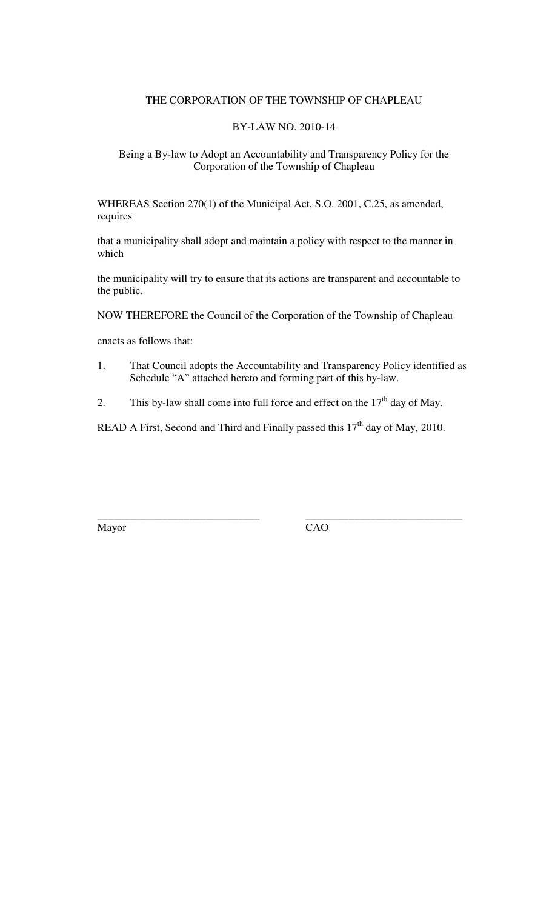#### THE CORPORATION OF THE TOWNSHIP OF CHAPLEAU

#### BY-LAW NO. 2010-14

#### Being a By-law to Adopt an Accountability and Transparency Policy for the Corporation of the Township of Chapleau

WHEREAS Section 270(1) of the Municipal Act, S.O. 2001, C.25, as amended, requires

that a municipality shall adopt and maintain a policy with respect to the manner in which

the municipality will try to ensure that its actions are transparent and accountable to the public.

NOW THEREFORE the Council of the Corporation of the Township of Chapleau

enacts as follows that:

- 1. That Council adopts the Accountability and Transparency Policy identified as Schedule "A" attached hereto and forming part of this by-law.
- 2. This by-law shall come into full force and effect on the  $17<sup>th</sup>$  day of May.

READ A First, Second and Third and Finally passed this  $17<sup>th</sup>$  day of May, 2010.

**\_\_\_\_\_\_\_\_\_\_\_\_\_\_\_\_\_\_\_\_\_\_\_\_\_\_\_\_\_\_ \_\_\_\_\_\_\_\_\_\_\_\_\_\_\_\_\_\_\_\_\_\_\_\_\_\_\_\_\_**  Mayor CAO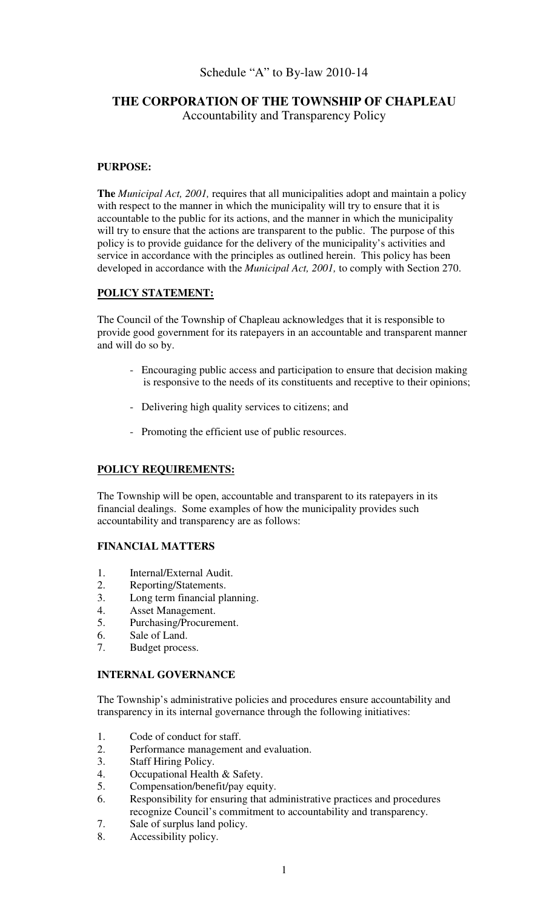# Schedule "A" to By-law 2010-14

## **THE CORPORATION OF THE TOWNSHIP OF CHAPLEAU**  Accountability and Transparency Policy

#### **PURPOSE:**

**The** *Municipal Act, 2001,* requires that all municipalities adopt and maintain a policy with respect to the manner in which the municipality will try to ensure that it is accountable to the public for its actions, and the manner in which the municipality will try to ensure that the actions are transparent to the public. The purpose of this policy is to provide guidance for the delivery of the municipality's activities and service in accordance with the principles as outlined herein. This policy has been developed in accordance with the *Municipal Act, 2001,* to comply with Section 270.

#### **POLICY STATEMENT:**

The Council of the Township of Chapleau acknowledges that it is responsible to provide good government for its ratepayers in an accountable and transparent manner and will do so by.

- Encouraging public access and participation to ensure that decision making is responsive to the needs of its constituents and receptive to their opinions;
- Delivering high quality services to citizens; and
- Promoting the efficient use of public resources.

## **POLICY REQUIREMENTS:**

The Township will be open, accountable and transparent to its ratepayers in its financial dealings. Some examples of how the municipality provides such accountability and transparency are as follows:

#### **FINANCIAL MATTERS**

- 1. Internal/External Audit.
- 2. Reporting/Statements.
- 3. Long term financial planning.<br>4. Asset Management.
- 4. Asset Management.<br>5. Purchasing/Procurer
- 5. Purchasing/Procurement.
- 6. Sale of Land.
- 7. Budget process.

#### **INTERNAL GOVERNANCE**

The Township's administrative policies and procedures ensure accountability and transparency in its internal governance through the following initiatives:

- 1. Code of conduct for staff.
- 2. Performance management and evaluation.
- 3. Staff Hiring Policy.<br>4. Occupational Health
- Occupational Health & Safety.
- 5. Compensation/benefit/pay equity.
- 6. Responsibility for ensuring that administrative practices and procedures recognize Council's commitment to accountability and transparency.
- 7. Sale of surplus land policy.
- 8. Accessibility policy.